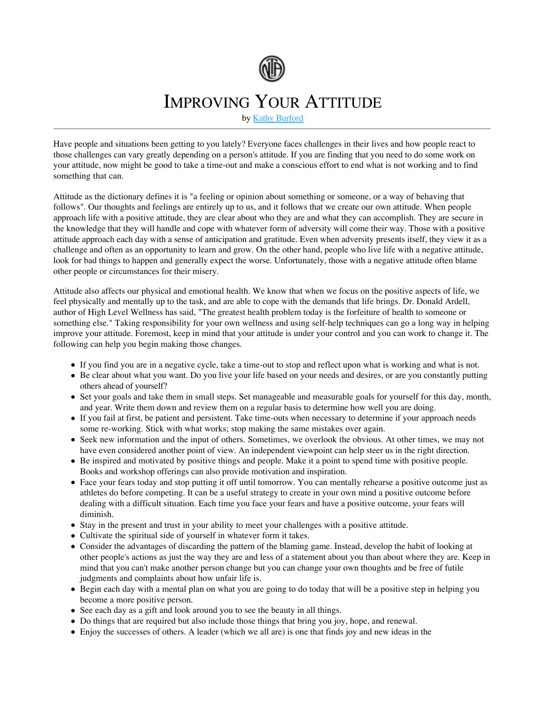

## IMPROVING YOUR ATTITUDE

by Kathy Burford

Have people and situations been getting to you lately? Everyone faces challenges in their lives and how people react to those challenges can vary greatly depending on a person's attitude. If you are finding that you need to do some work on your attitude, now might be good to take a time-out and make a conscious effort to end what is not working and to find something that can.

Attitude as the dictionary defines it is "a feeling or opinion about something or someone, or a way of behaving that follows". Our thoughts and feelings are entirely up to us, and it follows that we create our own attitude. When people approach life with a positive attitude, they are clear about who they are and what they can accomplish. They are secure in the knowledge that they will handle and cope with whatever form of adversity will come their way. Those with a positive attitude approach each day with a sense of anticipation and gratitude. Even when adversity presents itself, they view it as a challenge and often as an opportunity to learn and grow. On the other hand, people who live life with a negative attitude, look for bad things to happen and generally expect the worse. Unfortunately, those with a negative attitude often blame other people or circumstances for their misery.

Attitude also affects our physical and emotional health. We know that when we focus on the positive aspects of life, we feel physically and mentally up to the task, and are able to cope with the demands that life brings. Dr. Donald Ardell, author of High Level Wellness has said, "The greatest health problem today is the forfeiture of health to someone or something else." Taking responsibility for your own wellness and using self-help techniques can go a long way in helping improve your attitude. Foremost, keep in mind that your attitude is under your control and you can work to change it. The following can help you begin making those changes.

- If you find you are in a negative cycle, take a time-out to stop and reflect upon what is working and what is not.
- Be clear about what you want. Do you live your life based on your needs and desires, or are you constantly putting others ahead of yourself?
- Set your goals and take them in small steps. Set manageable and measurable goals for yourself for this day, month, and year. Write them down and review them on a regular basis to determine how well you are doing.
- If you fail at first, be patient and persistent. Take time-outs when necessary to determine if your approach needs some re-working. Stick with what works; stop making the same mistakes over again.
- Seek new information and the input of others. Sometimes, we overlook the obvious. At other times, we may not have even considered another point of view. An independent viewpoint can help steer us in the right direction.
- Be inspired and motivated by positive things and people. Make it a point to spend time with positive people. Books and workshop offerings can also provide motivation and inspiration.
- Face your fears today and stop putting it off until tomorrow. You can mentally rehearse a positive outcome just as athletes do before competing. It can be a useful strategy to create in your own mind a positive outcome before dealing with a difficult situation. Each time you face your fears and have a positive outcome, your fears will diminish.
- Stay in the present and trust in your ability to meet your challenges with a positive attitude.
- Cultivate the spiritual side of yourself in whatever form it takes.
- Consider the advantages of discarding the pattern of the blaming game. Instead, develop the habit of looking at other people's actions as just the way they are and less of a statement about you than about where they are. Keep in mind that you can't make another person change but you can change your own thoughts and be free of futile judgments and complaints about how unfair life is.
- Begin each day with a mental plan on what you are going to do today that will be a positive step in helping you become a more positive person.
- See each day as a gift and look around you to see the beauty in all things.
- Do things that are required but also include those things that bring you joy, hope, and renewal.
- Enjoy the successes of others. A leader (which we all are) is one that finds joy and new ideas in the